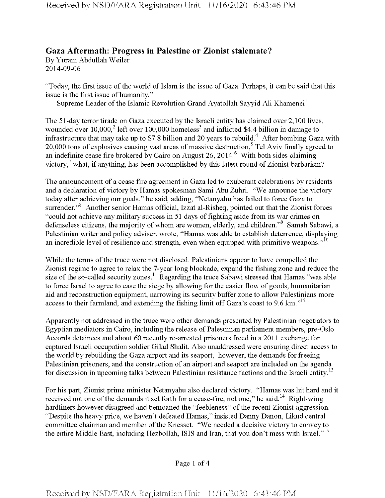## **Gaza Aftermath: Progress in Palestine or Zionist stalemate?**

By Yuram Abdullah Weiler 2014-09-06

"Today, the first issue of the world of Islam is the issue of Gaza. Perhaps, it can be said that this issue is the first issue of humanity."

— Supreme Leader of the Islamic Revolution Grand Ayatollah Sayyid Ali Khamenei<sup>1</sup>

The 51-day terror tirade on Gaza executed by the Israeli entity has claimed over 2,100 lives, wounded over  $10,000$ <sup>2</sup> left over 100,000 homeless<sup>3</sup> and inflicted \$4.4 billion in damage to infrastructure that may take up to \$7.8 billion and 20 years to rebuild.<sup>4</sup> After bombing Gaza with 20,000 tons of explosives causing vast areas of massive destruction,<sup>5</sup> Tel Aviv finally agreed to an indefinite cease fire brokered by Cairo on August 26, 2014.<sup>6</sup> With both sides claiming victory,<sup>7</sup> what, if anything, has been accomplished by this latest round of Zionist barbarism?

The announcement of a cease fire agreement in Gaza led to exuberant celebrations by residents and a declaration of victory by Hamas spokesman Sami Abu Zuhri. "We announce the victory today after achieving our goals," he said, adding, "Netanyahu has failed to force Gaza to surrender."<sup>8</sup> Another senior Hamas official, Izzat al-Risheq, pointed out that the Zionist forces "could not achieve any military success in 51 days of fighting aside from its war crimes on defenseless citizens, the majority of whom are women, elderly, and children."<sup>9</sup> Samah Sabawi, a Palestinian writer and policy adviser, wrote, "Hamas was able to establish deterrence, displaying an incredible level of resilience and strength, even when equipped with primitive weapons." $10$ 

While the terms of the truce were not disclosed, Palestinians appear to have compelled the Zionist regime to agree to relax the 7-year long blockade, expand the fishing zone and reduce the size of the so-called security zones.<sup>11</sup> Regarding the truce Sabawi stressed that Hamas "was able to force Israel to agree to ease the siege by allowing forthe easier flow of goods, humanitarian aid and reconstruction equipment, narrowing its security buffer zone to allow Palestinians more access to their farmland, and extending the fishing limit off Gaza's coast to 9.6 km. $"^{12}$ 

Apparently not addressed in the truce were other demands presented by Palestinian negotiators to Egyptian mediators in Cairo, including the release of Palestinian parliament members, pre-Oslo Accords detainees and about 60 recently re-arrested prisoners freed in a 2011 exchange for captured Israeli occupation soldier Gilad Shalit. Also unaddressed were ensuring direct access to the world by rebuilding the Gaza airport and its seaport, however, the demands for freeing Palestinian prisoners, and the construction of an airport and seaport are included on the agenda for discussion in upcoming talks between Palestinian resistance factions and the Israeli entity.<sup>13</sup>

For his part, Zionist prime minister Netanyahu also declared victory. "Hamas was hit hard and it received not one of the demands it set forth for a cease-fire, not one," he said.<sup>14</sup> Right-wing hardliners however disagreed and bemoaned the "feebleness" of the recent Zionist aggression. "Despite the heavy price, we haven't defeated Hamas," insisted Danny Danon, Likud central committee chairman and member of the Knesset. "We needed a decisive victory to convey to the entire Middle East, including Hezbollah, ISIS and Iran, that you don't mess with Israel."<sup>15</sup>

Page <sup>1</sup> of 4

Received by NSD/FARA Registration Unit 11/16/2020 6:43:46 PM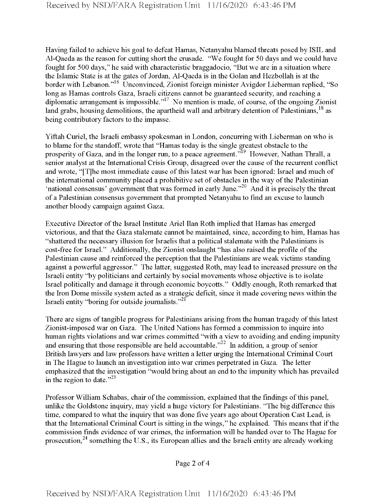Having failed to achieve his goal to defeat Hamas, Netanyahu blamed threats posed by ISIL and Al-Qaeda as the reason for cutting short the crusade. "We fought for 50 days and we could have fought for 500 days," he said with characteristic braggadocio, "But we are in a situation where the Islamic State is at the gates of Jordan, Al-Qaeda is in the Golan and Hezbollah is at the border with Lebanon."<sup>16</sup> Unconvinced, Zionist foreign minister Avigdor Lieberman replied, "So long as Hamas controls Gaza, Israeli citizens cannot be guaranteed security, and reaching a diplomatic arrangement is impossible."<sup>17</sup> No mention is made, of course, of the ongoing Zionist land grabs, housing demolitions, the apartheid wall and arbitrary detention of Palestinians,<sup>18</sup> as being contributory factors to the impasse.

Yiftah Curiel, the Israeli embassy spokesman in London, concurring with Lieberman on who is to blame for the standoff, wrote that "Hamas today is the single greatest obstacle to the prosperity of Gaza, and in the longer run, to a peace agreement."<sup>19</sup> However, Nathan Thrall, a senior analyst at the International Crisis Group, disagreed over the cause of the recurrent conflict and wrote, "[T]he most immediate cause of this latest war has been ignored: Israel and much of the international community placed a prohibitive set of obstacles in the way of the Palestinian 'national consensus' government that was formed in early June."<sup>20</sup> And it is precisely the threat of a Palestinian consensus government that prompted Netanyahu to find an excuse to launch another bloody campaign against Gaza.

Executive Director ofthe Israel Institute Ariel Ilan Roth implied that Hamas has emerged victorious, and that the Gaza stalemate cannot be maintained, since, according to him, Hamas has "shattered the necessary illusion for Israelis that a political stalemate with the Palestinians is cost-free for Israel." Additionally, the Zionist onslaught "has also raised the profile of the Palestinian cause and reinforced the perception that the Palestinians are weak victims standing against a powerful aggressor." The latter, suggested Roth, may lead to increased pressure on the Israeli entity "by politicians and certainly by social movements whose objective is to isolate Israel politically and damage it through economic boycotts." Oddly enough, Roth remarked that the Iron Dome missile system acted as a strategic deficit, since it made covering news within the Israeli entity "boring for outside journalists."<sup>21</sup>

There are signs of tangible progress for Palestinians arising from the human tragedy of this latest Zionist-imposed war on Gaza. The United Nations has formed a commission to inquire into human rights violations and war crimes committed "with a view to avoiding and ending impunity and ensuring that those responsible are held accountable." $^{22}$  In addition, a group of senior British lawyers and law professors have written a letter urging the International Criminal Court in The Hague to launch an investigation into war crimes perpetrated in Gaza. The letter emphasized that the investigation "would bring about an end to the impunity which has prevailed in the region to date." $2^{23}$ 

Professor William Schabas, chair of the commission, explained that the findings of this panel, unlike the Goldstone inquiry, may yield a huge victory for Palestinians. "The big difference this time, compared to what the inquiry that was done five years ago about Operation Cast Lead, is that the International Criminal Court is sitting in the wings," he explained. This means that ifthe commission finds evidence of war crimes, the information will be handed over to The Hague for prosecution,<sup>24</sup> something the U.S., its European allies and the Israeli entity are already working

Page 2 of 4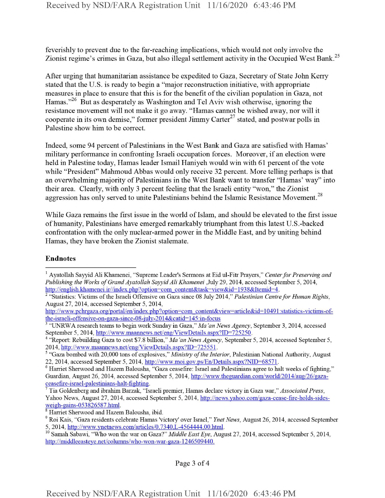feverishly to prevent due to the far-reaching implications, which would not only involve the Zionist regime's crimes in Gaza, but also illegal settlement activity in the Occupied West Bank.<sup>25</sup>

After urging that humanitarian assistance be expedited to Gaza, Secretary of State John Kerry stated that the U.S. is ready to begin a "major reconstruction initiative, with appropriate measures in place to ensure that this is for the benefit of the civilian population in Gaza, not Hamas."<sup>26</sup> But as desperately as Washington and Tel Aviv wish otherwise, ignoring the resistance movement will not make it go away. "Hamas cannot be wished away, nor will it cooperate in its own demise," former president Jimmy Carter<sup>27</sup> stated, and postwar polls in Palestine show him to be correct.

Indeed, some 94 percent of Palestinians in the West Bank and Gaza are satisfied with Hamas' military performance in confronting Israeli occupation forces. Moreover, if an election were held in Palestine today, Hamas leader Ismail Haniyeh would win with 61 percent of the vote while "President" Mahmoud Abbas would only receive 32 percent. More telling perhaps is that an overwhelming majority of Palestinians in the West Bank want to transfer "Hamas' way" into their area. Clearly, with only 3 percent feeling that the Israeli entity "won," the Zionist aggression has only served to unite Palestinians behind the Islamic Resistance Movement.<sup>28</sup>

While Gaza remains the first issue in the world of Islam, and should be elevated to the first issue ofhumanity, Palestinians have emerged remarkably triumphant from this latest U.S.-backed confrontation with the only nuclear-armed power in the Middle East, and by uniting behind Hamas, they have broken the Zionist stalemate.

## Endnotes

<sup>8</sup> Harriet Sherwood and Hazem Balousha, ibid.

Page 3 of 4

<sup>&</sup>lt;sup>1</sup> Ayatollah Sayyid Ali Khamenei, "Supreme Leader's Sermons at Eid ul-Fitr Prayers," Center for Preserving and *Publishing the Works ofGrandAyatollah SayyidAliKhamenei* July 29, 2014, accessed September 5, 2014, http://english.khamenei.ir//index.php?option=com\_content&task=view&id=1938&Itemid=4.

<sup>2</sup> "Statistics: Victims ofthe Israeli Offensive on Gaza since 08 July 2014," *Palestinian Centrefor Human Rights,* August 27, 2014, accessed September 5, 2014,

http://www.pchrgaza.org/portal/en/index.php?option=com\_content&view=article&id=10491:statistics-victims-ofthe-israeli-offensive-on-gaza-since-08-iulv-2014&catid=145:in-focus

<sup>3</sup> "UNRWA research teams to begin work Sunday in Gaza," *Ma 'an News Agency,* September 3, 2014, accessed September 5, 2014, http://www.maannews.net/eng/ViewDetails.aspx?ID=725250.

<sup>4</sup> "Report: Rebuilding Gaza to cost \$7.8 billion," *Ma 'an News Agency,* September 5, 2014, accessed September 5, 2014, http://www.maannews.net/eng/ViewDetails.aspx?ID=725551.

<sup>&</sup>lt;sup>5</sup> "Gaza bombed with 20,000 tons of explosives," *Ministry of the Interior*, Palestinian National Authority, August 22, 2014, accessed September 5, 2014, http://www.moi.gov.ps/En/Details.aspx?NID=68571.

<sup>&</sup>lt;sup>6</sup> Harriet Sherwood and Hazem Balousha, "Gaza ceasefire: Israel and Palestinians agree to halt weeks of fighting," Guardian, August 26, 2014, accessed September 5, 2014, http://www.theguardian.com/world/2014/aug/26/gazaceasefire-israel-palestimans-halt-fighting.

<sup>7</sup> Tia Goldenberg and ibrahim Barzak, "Israeli premier, Hamas declare victory in Gaza war," *Associated Press,* Yahoo News, August 27, 2014, accessed September 5, 2014, http://news.yahoo.com/gaza-cease-fire-holds-sidesweigh-gains-053826587.html.

<sup>9</sup> Roi Kais, "Gaza residents celebrate Hamas 'victory' over Israel," *Ynet News,* August 26, 2014, accessed September 5, 2014, http://www.vnetnews.eom/artides/0.7340.L-4564444.00.html.

<sup>&</sup>lt;sup>10</sup> Samah Sabawi, "Who won the war on Gaza?" *Middle East Eye*, August 27, 2014, accessed September 5, 2014, http://middleeasteve.net/columns/who-won-war-gaza-1246509440.